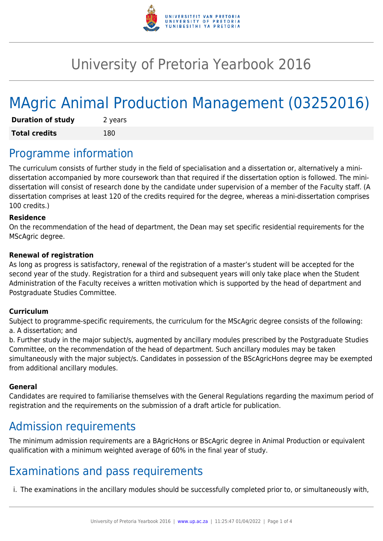

# University of Pretoria Yearbook 2016

# MAgric Animal Production Management (03252016)

| <b>Duration of study</b> | 2 years |
|--------------------------|---------|
| <b>Total credits</b>     | 180     |

## Programme information

The curriculum consists of further study in the field of specialisation and a dissertation or, alternatively a minidissertation accompanied by more coursework than that required if the dissertation option is followed. The minidissertation will consist of research done by the candidate under supervision of a member of the Faculty staff. (A dissertation comprises at least 120 of the credits required for the degree, whereas a mini-dissertation comprises 100 credits.)

#### **Residence**

On the recommendation of the head of department, the Dean may set specific residential requirements for the MScAgric degree.

#### **Renewal of registration**

As long as progress is satisfactory, renewal of the registration of a master's student will be accepted for the second year of the study. Registration for a third and subsequent years will only take place when the Student Administration of the Faculty receives a written motivation which is supported by the head of department and Postgraduate Studies Committee.

#### **Curriculum**

Subject to programme-specific requirements, the curriculum for the MScAgric degree consists of the following: a. A dissertation; and

b. Further study in the major subject/s, augmented by ancillary modules prescribed by the Postgraduate Studies Committee, on the recommendation of the head of department. Such ancillary modules may be taken simultaneously with the major subject/s. Candidates in possession of the BScAgricHons degree may be exempted from additional ancillary modules.

#### **General**

Candidates are required to familiarise themselves with the General Regulations regarding the maximum period of registration and the requirements on the submission of a draft article for publication.

### Admission requirements

The minimum admission requirements are a BAgricHons or BScAgric degree in Animal Production or equivalent qualification with a minimum weighted average of 60% in the final year of study.

### Examinations and pass requirements

i. The examinations in the ancillary modules should be successfully completed prior to, or simultaneously with,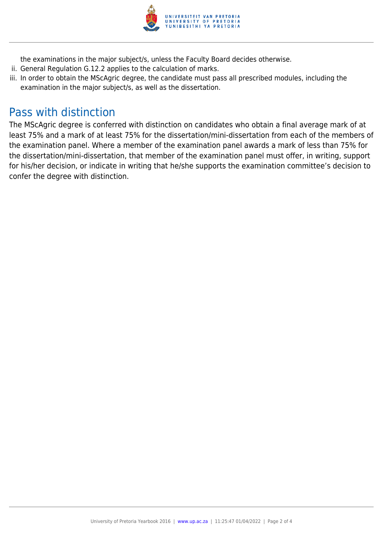

the examinations in the major subject/s, unless the Faculty Board decides otherwise.

- ii. General Regulation G.12.2 applies to the calculation of marks.
- iii. In order to obtain the MScAgric degree, the candidate must pass all prescribed modules, including the examination in the major subject/s, as well as the dissertation.

### Pass with distinction

The MScAgric degree is conferred with distinction on candidates who obtain a final average mark of at least 75% and a mark of at least 75% for the dissertation/mini-dissertation from each of the members of the examination panel. Where a member of the examination panel awards a mark of less than 75% for the dissertation/mini-dissertation, that member of the examination panel must offer, in writing, support for his/her decision, or indicate in writing that he/she supports the examination committee's decision to confer the degree with distinction.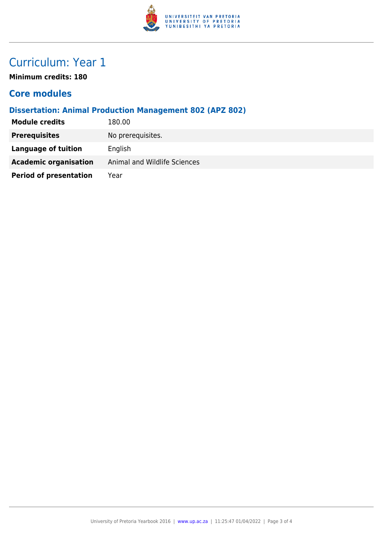

# Curriculum: Year 1

**Minimum credits: 180**

### **Core modules**

#### **Dissertation: Animal Production Management 802 (APZ 802)**

| <b>Module credits</b>         | 180.00                       |
|-------------------------------|------------------------------|
| <b>Prerequisites</b>          | No prerequisites.            |
| Language of tuition           | English                      |
| <b>Academic organisation</b>  | Animal and Wildlife Sciences |
| <b>Period of presentation</b> | Year                         |